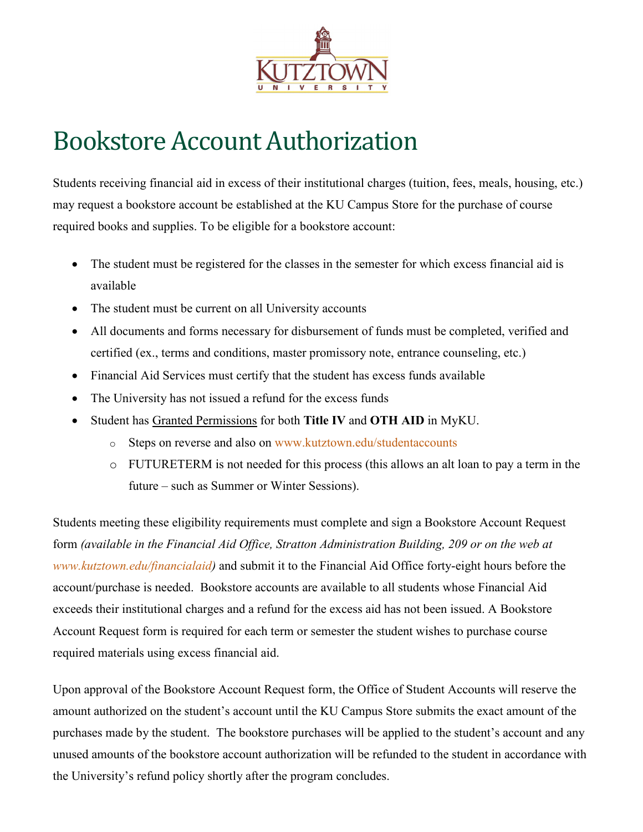

## Bookstore Account Authorization

Students receiving financial aid in excess of their institutional charges (tuition, fees, meals, housing, etc.) may request a bookstore account be established at the KU Campus Store for the purchase of course required books and supplies. To be eligible for a bookstore account:

- The student must be registered for the classes in the semester for which excess financial aid is available
- The student must be current on all University accounts
- All documents and forms necessary for disbursement of funds must be completed, verified and certified (ex., terms and conditions, master promissory note, entrance counseling, etc.)
- Financial Aid Services must certify that the student has excess funds available
- The University has not issued a refund for the excess funds
- Student has Granted Permissions for both **Title IV** and **OTH AID** in MyKU.
	- o Steps on reverse and also on [www.kutztown.edu/studentaccounts](http://www.kutztown.edu/studentaccounts)
	- o FUTURETERM is not needed for this process (this allows an alt loan to pay a term in the future – such as Summer or Winter Sessions).

Students meeting these eligibility requirements must complete and sign a Bookstore Account Request form *(available in the Financial Aid Office, Stratton Administration Building, 209 or on the web at [www.kutztown.edu/financialaid\)](http://www.kutztown.edu/financialaid)* and submit it to the Financial Aid Office forty-eight hours before the account/purchase is needed. Bookstore accounts are available to all students whose Financial Aid exceeds their institutional charges and a refund for the excess aid has not been issued. A Bookstore Account Request form is required for each term or semester the student wishes to purchase course required materials using excess financial aid.

Upon approval of the Bookstore Account Request form, the Office of Student Accounts will reserve the amount authorized on the student's account until the KU Campus Store submits the exact amount of the purchases made by the student. The bookstore purchases will be applied to the student's account and any unused amounts of the bookstore account authorization will be refunded to the student in accordance with the University's refund policy shortly after the program concludes.